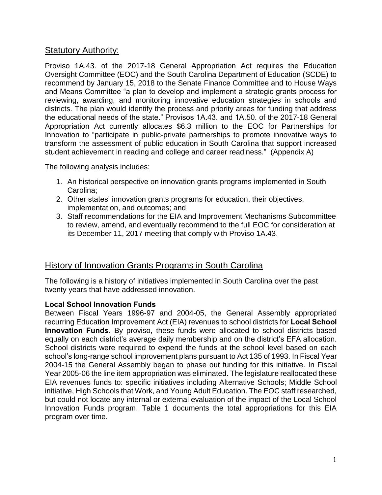## Statutory Authority:

Proviso 1A.43. of the 2017-18 General Appropriation Act requires the Education Oversight Committee (EOC) and the South Carolina Department of Education (SCDE) to recommend by January 15, 2018 to the Senate Finance Committee and to House Ways and Means Committee "a plan to develop and implement a strategic grants process for reviewing, awarding, and monitoring innovative education strategies in schools and districts. The plan would identify the process and priority areas for funding that address the educational needs of the state." Provisos 1A.43. and 1A.50. of the 2017-18 General Appropriation Act currently allocates \$6.3 million to the EOC for Partnerships for Innovation to "participate in public-private partnerships to promote innovative ways to transform the assessment of public education in South Carolina that support increased student achievement in reading and college and career readiness." (Appendix A)

The following analysis includes:

- 1. An historical perspective on innovation grants programs implemented in South Carolina;
- 2. Other states' innovation grants programs for education, their objectives, implementation, and outcomes; and
- 3. Staff recommendations for the EIA and Improvement Mechanisms Subcommittee to review, amend, and eventually recommend to the full EOC for consideration at its December 11, 2017 meeting that comply with Proviso 1A.43.

# History of Innovation Grants Programs in South Carolina

The following is a history of initiatives implemented in South Carolina over the past twenty years that have addressed innovation.

## **Local School Innovation Funds**

Between Fiscal Years 1996-97 and 2004-05, the General Assembly appropriated recurring Education Improvement Act (EIA) revenues to school districts for **Local School Innovation Funds**. By proviso, these funds were allocated to school districts based equally on each district's average daily membership and on the district's EFA allocation. School districts were required to expend the funds at the school level based on each school's long-range school improvement plans pursuant to Act 135 of 1993. In Fiscal Year 2004-15 the General Assembly began to phase out funding for this initiative. In Fiscal Year 2005-06 the line item appropriation was eliminated. The legislature reallocated these EIA revenues funds to: specific initiatives including Alternative Schools; Middle School initiative, High Schools that Work, and Young Adult Education. The EOC staff researched, but could not locate any internal or external evaluation of the impact of the Local School Innovation Funds program. Table 1 documents the total appropriations for this EIA program over time.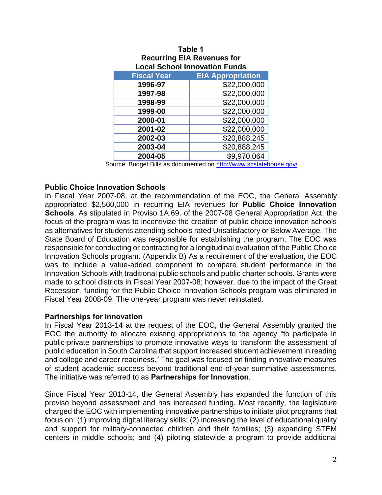| <b>EIA Appropriation</b><br><b>Fiscal Year</b><br>\$22,000,000<br>1996-97<br>\$22,000,000<br>1997-98<br>\$22,000,000<br>1998-99<br>\$22,000,000<br>1999-00 |
|------------------------------------------------------------------------------------------------------------------------------------------------------------|
|                                                                                                                                                            |
|                                                                                                                                                            |
|                                                                                                                                                            |
|                                                                                                                                                            |
|                                                                                                                                                            |
| \$22,000,000<br>2000-01                                                                                                                                    |
| \$22,000,000<br>2001-02                                                                                                                                    |
| \$20,888,245<br>2002-03                                                                                                                                    |
| \$20,888,245<br>2003-04                                                                                                                                    |
| \$9,970,064<br>2004-05                                                                                                                                     |

#### **Table 1 Recurring EIA Revenues for Local School Innovation Funds**

Source: Budget Bills as documented on<http://www.scstatehouse.gov/>

## **Public Choice Innovation Schools**

In Fiscal Year 2007-08, at the recommendation of the EOC, the General Assembly appropriated \$2,560,000 in recurring EIA revenues for **Public Choice Innovation Schools**. As stipulated in Proviso 1A.69. of the 2007-08 General Appropriation Act, the focus of the program was to incentivize the creation of public choice innovation schools as alternatives for students attending schools rated Unsatisfactory or Below Average. The State Board of Education was responsible for establishing the program. The EOC was responsible for conducting or contracting for a longitudinal evaluation of the Public Choice Innovation Schools program. (Appendix B) As a requirement of the evaluation, the EOC was to include a value-added component to compare student performance in the Innovation Schools with traditional public schools and public charter schools. Grants were made to school districts in Fiscal Year 2007-08; however, due to the impact of the Great Recession, funding for the Public Choice Innovation Schools program was eliminated in Fiscal Year 2008-09. The one-year program was never reinstated.

### **Partnerships for Innovation**

In Fiscal Year 2013-14 at the request of the EOC, the General Assembly granted the EOC the authority to allocate existing appropriations to the agency "to participate in public-private partnerships to promote innovative ways to transform the assessment of public education in South Carolina that support increased student achievement in reading and college and career readiness." The goal was focused on finding innovative measures of student academic success beyond traditional end-of-year summative assessments. The initiative was referred to as **Partnerships for Innovation**.

Since Fiscal Year 2013-14, the General Assembly has expanded the function of this proviso beyond assessment and has increased funding. Most recently, the legislature charged the EOC with implementing innovative partnerships to initiate pilot programs that focus on: (1) improving digital literacy skills; (2) increasing the level of educational quality and support for military-connected children and their families; (3) expanding STEM centers in middle schools; and (4) piloting statewide a program to provide additional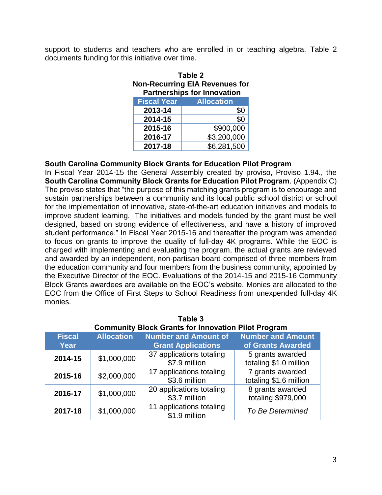support to students and teachers who are enrolled in or teaching algebra. Table 2 documents funding for this initiative over time.

| Table 2                               |                   |  |  |
|---------------------------------------|-------------------|--|--|
| <b>Non-Recurring EIA Revenues for</b> |                   |  |  |
| <b>Partnerships for Innovation</b>    |                   |  |  |
| <b>Fiscal Year</b>                    | <b>Allocation</b> |  |  |
| 2013-14                               | \$0               |  |  |
| 2014-15                               | \$0               |  |  |
| 2015-16                               | \$900,000         |  |  |

**2016-17** \$3,200,000 **2017-18** \$6,281,500

### **South Carolina Community Block Grants for Education Pilot Program**

In Fiscal Year 2014-15 the General Assembly created by proviso, Proviso 1.94., the **South Carolina Community Block Grants for Education Pilot Program**. (Appendix C) The proviso states that "the purpose of this matching grants program is to encourage and sustain partnerships between a community and its local public school district or school for the implementation of innovative, state-of-the-art education initiatives and models to improve student learning. The initiatives and models funded by the grant must be well designed, based on strong evidence of effectiveness, and have a history of improved student performance." In Fiscal Year 2015-16 and thereafter the program was amended to focus on grants to improve the quality of full-day 4K programs. While the EOC is charged with implementing and evaluating the program, the actual grants are reviewed and awarded by an independent, non-partisan board comprised of three members from the education community and four members from the business community, appointed by the Executive Director of the EOC. Evaluations of the 2014-15 and 2015-16 Community Block Grants awardees are available on the EOC's website. Monies are allocated to the EOC from the Office of First Steps to School Readiness from unexpended full-day 4K monies.

| i avit v                                                   |                   |                                           |                                            |  |
|------------------------------------------------------------|-------------------|-------------------------------------------|--------------------------------------------|--|
| <b>Community Block Grants for Innovation Pilot Program</b> |                   |                                           |                                            |  |
| <b>Fiscal</b>                                              | <b>Allocation</b> | <b>Number and Amount of</b>               | <b>Number and Amount</b>                   |  |
| <b>Year</b>                                                |                   | <b>Grant Applications</b>                 | of Grants Awarded                          |  |
| 2014-15                                                    | \$1,000,000       | 37 applications totaling<br>\$7.9 million | 5 grants awarded<br>totaling \$1.0 million |  |
| 2015-16                                                    | \$2,000,000       | 17 applications totaling<br>\$3.6 million | 7 grants awarded<br>totaling \$1.6 million |  |
| 2016-17                                                    | \$1,000,000       | 20 applications totaling<br>\$3.7 million | 8 grants awarded<br>totaling \$979,000     |  |
| 2017-18                                                    | \$1,000,000       | 11 applications totaling<br>\$1.9 million | To Be Determined                           |  |

| Table 3 |                                                                                                      |  |  |  |
|---------|------------------------------------------------------------------------------------------------------|--|--|--|
|         | Community Block Grants for Innovation Pilot Program                                                  |  |  |  |
|         | t Alliano al Paris de la Milana de la capación de la capación de la Milana de La Caraca de la Caraca |  |  |  |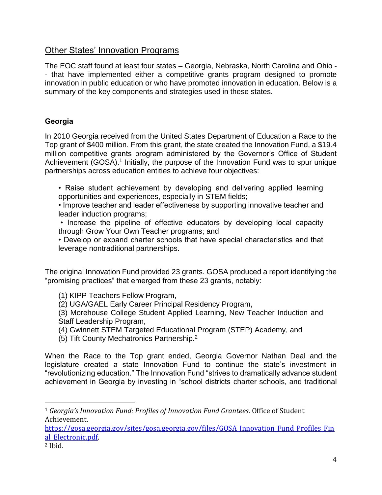# Other States' Innovation Programs

The EOC staff found at least four states – Georgia, Nebraska, North Carolina and Ohio - - that have implemented either a competitive grants program designed to promote innovation in public education or who have promoted innovation in education. Below is a summary of the key components and strategies used in these states.

## **Georgia**

In 2010 Georgia received from the United States Department of Education a Race to the Top grant of \$400 million. From this grant, the state created the Innovation Fund, a \$19.4 million competitive grants program administered by the Governor's Office of Student Achievement (GOSA).<sup>1</sup> Initially, the purpose of the Innovation Fund was to spur unique partnerships across education entities to achieve four objectives:

- Raise student achievement by developing and delivering applied learning opportunities and experiences, especially in STEM fields;
- Improve teacher and leader effectiveness by supporting innovative teacher and leader induction programs;
- Increase the pipeline of effective educators by developing local capacity through Grow Your Own Teacher programs; and
- Develop or expand charter schools that have special characteristics and that leverage nontraditional partnerships.

The original Innovation Fund provided 23 grants. GOSA produced a report identifying the "promising practices" that emerged from these 23 grants, notably:

- (1) KIPP Teachers Fellow Program,
- (2) UGA/GAEL Early Career Principal Residency Program,
- (3) Morehouse College Student Applied Learning, New Teacher Induction and Staff Leadership Program,
- (4) Gwinnett STEM Targeted Educational Program (STEP) Academy, and
- (5) Tift County Mechatronics Partnership.<sup>2</sup>

When the Race to the Top grant ended, Georgia Governor Nathan Deal and the legislature created a state Innovation Fund to continue the state's investment in "revolutionizing education." The Innovation Fund "strives to dramatically advance student achievement in Georgia by investing in "school districts charter schools, and traditional

[https://gosa.georgia.gov/sites/gosa.georgia.gov/files/GOSA\\_Innovation\\_Fund\\_Profiles\\_Fin](https://gosa.georgia.gov/sites/gosa.georgia.gov/files/GOSA_Innovation_Fund_Profiles_Final_Electronic.pdf) [al\\_Electronic.pdf.](https://gosa.georgia.gov/sites/gosa.georgia.gov/files/GOSA_Innovation_Fund_Profiles_Final_Electronic.pdf)

l

<sup>1</sup> *Georgia's Innovation Fund: Profiles of Innovation Fund Grantees*. Office of Student Achievement.

<sup>2</sup> Ibid.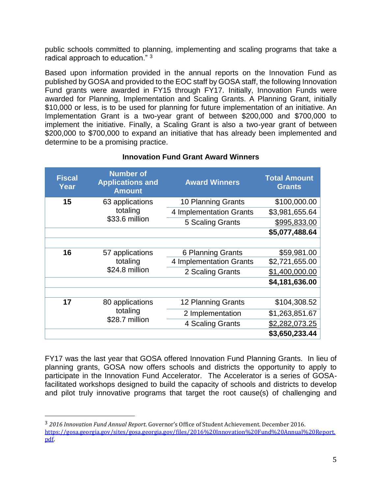public schools committed to planning, implementing and scaling programs that take a radical approach to education."  $3$ 

Based upon information provided in the annual reports on the Innovation Fund as published by GOSA and provided to the EOC staff by GOSA staff, the following Innovation Fund grants were awarded in FY15 through FY17. Initially, Innovation Funds were awarded for Planning, Implementation and Scaling Grants. A Planning Grant, initially \$10,000 or less, is to be used for planning for future implementation of an initiative. An Implementation Grant is a two-year grant of between \$200,000 and \$700,000 to implement the initiative. Finally, a Scaling Grant is also a two-year grant of between \$200,000 to \$700,000 to expand an initiative that has already been implemented and determine to be a promising practice.

| <b>Fiscal</b><br>Year | <b>Number of</b><br><b>Applications and</b><br><b>Amount</b> | <b>Award Winners</b>    | <b>Total Amount</b><br><b>Grants</b> |
|-----------------------|--------------------------------------------------------------|-------------------------|--------------------------------------|
| 15                    | 63 applications                                              | 10 Planning Grants      | \$100,000.00                         |
|                       | totaling<br>\$33.6 million                                   | 4 Implementation Grants | \$3,981,655.64                       |
|                       |                                                              | 5 Scaling Grants        | \$995,833.00                         |
|                       |                                                              |                         | \$5,077,488.64                       |
|                       |                                                              |                         |                                      |
| 16                    | 57 applications                                              | 6 Planning Grants       | \$59,981.00                          |
|                       | totaling                                                     | 4 Implementation Grants | \$2,721,655.00                       |
|                       | \$24.8 million                                               | 2 Scaling Grants        | \$1,400,000.00                       |
|                       |                                                              |                         | \$4,181,636.00                       |
|                       |                                                              |                         |                                      |
| 17                    | 80 applications                                              | 12 Planning Grants      | \$104,308.52                         |
|                       | totaling                                                     | 2 Implementation        | \$1,263,851.67                       |
|                       | \$28.7 million                                               | 4 Scaling Grants        | \$2,282,073.25                       |
|                       |                                                              |                         | \$3,650,233.44                       |

### **Innovation Fund Grant Award Winners**

FY17 was the last year that GOSA offered Innovation Fund Planning Grants. In lieu of planning grants, GOSA now offers schools and districts the opportunity to apply to participate in the Innovation Fund Accelerator. The Accelerator is a series of GOSAfacilitated workshops designed to build the capacity of schools and districts to develop and pilot truly innovative programs that target the root cause(s) of challenging and

l

<sup>3</sup> *2016 Innovation Fund Annual Report*. Governor's Office of Student Achievement. December 2016. [https://gosa.georgia.gov/sites/gosa.georgia.gov/files/2016%20Innovation%20Fund%20Annual%20Report.](https://gosa.georgia.gov/sites/gosa.georgia.gov/files/2016%20Innovation%20Fund%20Annual%20Report.pdf) [pdf.](https://gosa.georgia.gov/sites/gosa.georgia.gov/files/2016%20Innovation%20Fund%20Annual%20Report.pdf)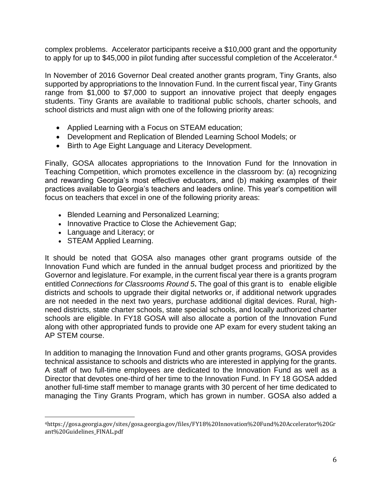complex problems. Accelerator participants receive a \$10,000 grant and the opportunity to apply for up to \$45,000 in pilot funding after successful completion of the Accelerator.<sup>4</sup>

In November of 2016 Governor Deal created another grants program, Tiny Grants, also supported by appropriations to the Innovation Fund. In the current fiscal year, Tiny Grants range from \$1,000 to \$7,000 to support an innovative project that deeply engages students. Tiny Grants are available to traditional public schools, charter schools, and school districts and must align with one of the following priority areas:

- Applied Learning with a Focus on STEAM education;
- Development and Replication of Blended Learning School Models; or
- Birth to Age Eight Language and Literacy Development.

Finally, GOSA allocates appropriations to the Innovation Fund for the Innovation in Teaching Competition, which promotes excellence in the classroom by: (a) recognizing and rewarding Georgia's most effective educators, and (b) making examples of their practices available to Georgia's teachers and leaders [online.](http://www.gpb.org/innovation-in-teaching) This year's competition will focus on teachers that excel in one of the following priority areas:

- Blended Learning and Personalized Learning;
- Innovative Practice to Close the Achievement Gap;
- Language and Literacy; or
- STEAM Applied Learning.

 $\overline{a}$ 

It should be noted that GOSA also manages other grant programs outside of the Innovation Fund which are funded in the annual budget process and prioritized by the Governor and legislature. For example, in the current fiscal year there is a grants program entitled *Connections for Classrooms Round 5***.** The goal of this grant is to enable eligible districts and schools to upgrade their digital networks or, if additional network upgrades are not needed in the next two years, purchase additional digital devices. Rural, highneed districts, state charter schools, state special schools, and locally authorized charter schools are eligible. In FY18 GOSA will also allocate a portion of the Innovation Fund along with other appropriated funds to provide one AP exam for every student taking an AP STEM course.

In addition to managing the Innovation Fund and other grants programs, GOSA provides technical assistance to schools and districts who are interested in applying for the grants. A staff of two full-time employees are dedicated to the Innovation Fund as well as a Director that devotes one-third of her time to the Innovation Fund. In FY 18 GOSA added another full-time staff member to manage grants with 30 percent of her time dedicated to managing the Tiny Grants Program, which has grown in number. GOSA also added a

<sup>4</sup>https://gosa.georgia.gov/sites/gosa.georgia.gov/files/FY18%20Innovation%20Fund%20Accelerator%20Gr ant%20Guidelines\_FINAL.pdf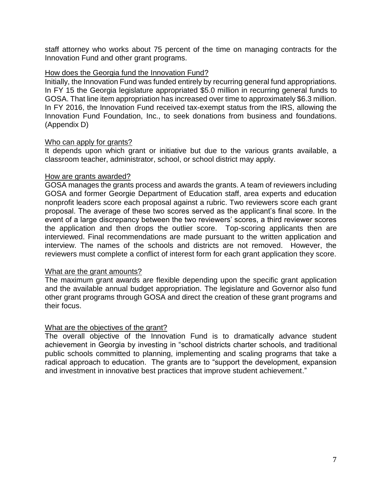staff attorney who works about 75 percent of the time on managing contracts for the Innovation Fund and other grant programs.

### How does the Georgia fund the Innovation Fund?

Initially, the Innovation Fund was funded entirely by recurring general fund appropriations. In FY 15 the Georgia legislature appropriated \$5.0 million in recurring general funds to GOSA. That line item appropriation has increased over time to approximately \$6.3 million. In FY 2016, the Innovation Fund received tax-exempt status from the IRS, allowing the Innovation Fund Foundation, Inc., to seek donations from business and foundations. (Appendix D)

### Who can apply for grants?

It depends upon which grant or initiative but due to the various grants available, a classroom teacher, administrator, school, or school district may apply.

### How are grants awarded?

GOSA manages the grants process and awards the grants. A team of reviewers including GOSA and former Georgie Department of Education staff, area experts and education nonprofit leaders score each proposal against a rubric. Two reviewers score each grant proposal. The average of these two scores served as the applicant's final score. In the event of a large discrepancy between the two reviewers' scores, a third reviewer scores the application and then drops the outlier score. Top-scoring applicants then are interviewed. Final recommendations are made pursuant to the written application and interview. The names of the schools and districts are not removed. However, the reviewers must complete a conflict of interest form for each grant application they score.

#### What are the grant amounts?

The maximum grant awards are flexible depending upon the specific grant application and the available annual budget appropriation. The legislature and Governor also fund other grant programs through GOSA and direct the creation of these grant programs and their focus.

### What are the objectives of the grant?

The overall objective of the Innovation Fund is to dramatically advance student achievement in Georgia by investing in "school districts charter schools, and traditional public schools committed to planning, implementing and scaling programs that take a radical approach to education. The grants are to "support the development, expansion and investment in innovative best practices that improve student achievement."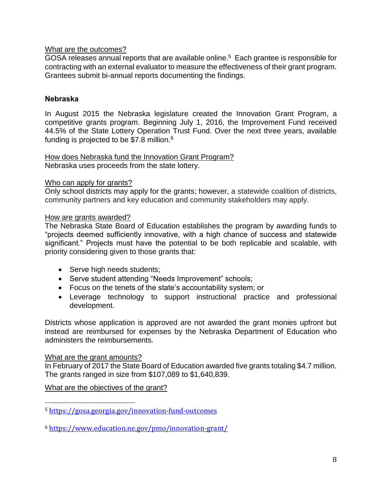## What are the outcomes?

GOSA releases annual reports that are available online.<sup>5</sup> Each grantee is responsible for contracting with an external evaluator to measure the effectiveness of their grant program. Grantees submit bi-annual reports documenting the findings.

## **Nebraska**

In August 2015 the Nebraska legislature created the Innovation Grant Program, a competitive grants program. Beginning July 1, 2016, the Improvement Fund received 44.5% of the State Lottery Operation Trust Fund. Over the next three years, available funding is projected to be \$7.8 million.<sup>6</sup>

How does Nebraska fund the Innovation Grant Program? Nebraska uses proceeds from the state lottery.

### Who can apply for grants?

Only school districts may apply for the grants; however, a statewide coalition of districts, community partners and key education and community stakeholders may apply.

## How are grants awarded?

The Nebraska State Board of Education establishes the program by awarding funds to "projects deemed sufficiently innovative, with a high chance of success and statewide significant." Projects must have the potential to be both replicable and scalable, with priority considering given to those grants that:

- Serve high needs students;
- Serve student attending "Needs Improvement" schools;
- Focus on the tenets of the state's accountability system; or
- Leverage technology to support instructional practice and professional development.

Districts whose application is approved are not awarded the grant monies upfront but instead are reimbursed for expenses by the Nebraska Department of Education who administers the reimbursements.

### What are the grant amounts?

l

In February of 2017 the State Board of Education awarded five grants totaling \$4.7 million. The grants ranged in size from \$107,089 to \$1,640,839.

What are the objectives of the grant?

<sup>5</sup> <https://gosa.georgia.gov/innovation-fund-outcomes>

<sup>6</sup> <https://www.education.ne.gov/pmo/innovation-grant/>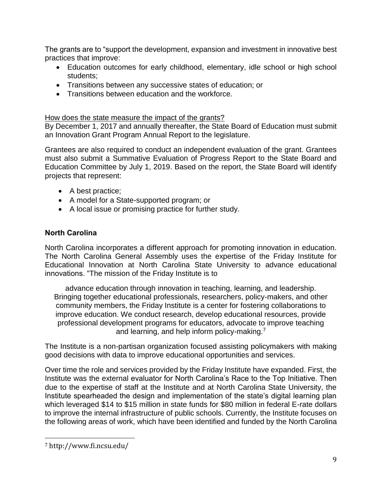The grants are to "support the development, expansion and investment in innovative best practices that improve:

- Education outcomes for early childhood, elementary, idle school or high school students;
- Transitions between any successive states of education; or
- Transitions between education and the workforce.

## How does the state measure the impact of the grants?

By December 1, 2017 and annually thereafter, the State Board of Education must submit an Innovation Grant Program Annual Report to the legislature.

Grantees are also required to conduct an independent evaluation of the grant. Grantees must also submit a Summative Evaluation of Progress Report to the State Board and Education Committee by July 1, 2019. Based on the report, the State Board will identify projects that represent:

- A best practice;
- A model for a State-supported program; or
- A local issue or promising practice for further study.

## **North Carolina**

North Carolina incorporates a different approach for promoting innovation in education. The North Carolina General Assembly uses the expertise of the Friday Institute for Educational Innovation at North Carolina State University to advance educational innovations. "The mission of the Friday Institute is to

advance education through innovation in teaching, learning, and leadership. Bringing together educational professionals, researchers, policy-makers, and other community members, the Friday Institute is a center for fostering collaborations to improve education. We conduct research, develop educational resources, provide professional development programs for educators, advocate to improve teaching and learning, and help inform policy-making.<sup>7</sup>

The Institute is a non-partisan organization focused assisting policymakers with making good decisions with data to improve educational opportunities and services.

Over time the role and services provided by the Friday Institute have expanded. First, the Institute was the external evaluator for North Carolina's Race to the Top Initiative. Then due to the expertise of staff at the Institute and at North Carolina State University, the Institute spearheaded the design and implementation of the state's digital learning plan which leveraged \$14 to \$15 million in state funds for \$80 million in federal E-rate dollars to improve the internal infrastructure of public schools. Currently, the Institute focuses on the following areas of work, which have been identified and funded by the North Carolina

l

<sup>7</sup> http://www.fi.ncsu.edu/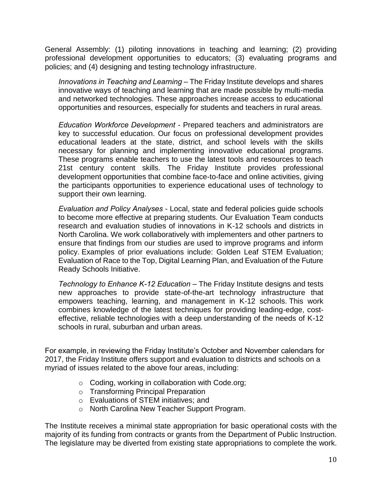General Assembly: (1) piloting innovations in teaching and learning; (2) providing professional development opportunities to educators; (3) evaluating programs and policies; and (4) designing and testing technology infrastructure.

*Innovations in Teaching and Learning* – The Friday Institute develops and shares innovative ways of teaching and learning that are made possible by multi-media and networked technologies. These approaches increase access to educational opportunities and resources, especially for students and teachers in rural areas.

*Education Workforce Development* - Prepared teachers and administrators are key to successful education. Our focus on professional development provides educational leaders at the state, district, and school levels with the skills necessary for planning and implementing innovative educational programs. These programs enable teachers to use the latest tools and resources to teach 21st century content skills. The Friday Institute provides professional development opportunities that combine face-to-face and online activities, giving the participants opportunities to experience educational uses of technology to support their own learning.

*Evaluation and Policy Analyses* - Local, state and federal policies guide schools to become more effective at preparing students. Our Evaluation Team conducts research and evaluation studies of innovations in K-12 schools and districts in North Carolina. We work collaboratively with implementers and other partners to ensure that findings from our studies are used to improve programs and inform policy. Examples of prior evaluations include: Golden Leaf STEM Evaluation; Evaluation of Race to the Top, Digital Learning Plan, and Evaluation of the Future Ready Schools Initiative.

*Technology to Enhance K-12 Education* – The Friday Institute designs and tests new approaches to provide state-of-the-art technology infrastructure that empowers teaching, learning, and management in K-12 schools. This work combines knowledge of the latest techniques for providing leading-edge, costeffective, reliable technologies with a deep understanding of the needs of K-12 schools in rural, suburban and urban areas.

For example, in reviewing the Friday Institute's October and November calendars for 2017, the Friday Institute offers support and evaluation to districts and schools on a myriad of issues related to the above four areas, including:

- o Coding, working in collaboration with Code.org;
- o Transforming Principal Preparation
- o Evaluations of STEM initiatives; and
- o North Carolina New Teacher Support Program.

The Institute receives a minimal state appropriation for basic operational costs with the majority of its funding from contracts or grants from the Department of Public Instruction. The legislature may be diverted from existing state appropriations to complete the work.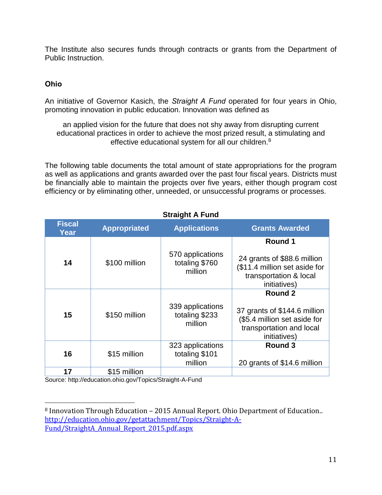The Institute also secures funds through contracts or grants from the Department of Public Instruction.

## **Ohio**

l

An initiative of Governor Kasich, the *Straight A Fund* operated for four years in Ohio, promoting innovation in public education. Innovation was defined as

an applied vision for the future that does not shy away from disrupting current educational practices in order to achieve the most prized result, a stimulating and effective educational system for all our children.<sup>8</sup>

The following table documents the total amount of state appropriations for the program as well as applications and grants awarded over the past four fiscal years. Districts must be financially able to maintain the projects over five years, either though program cost efficiency or by eliminating other, unneeded, or unsuccessful programs or processes.

**Straight A Fund**

|                       |                     | Straight A Fund                               |                                                                                                                     |
|-----------------------|---------------------|-----------------------------------------------|---------------------------------------------------------------------------------------------------------------------|
| <b>Fiscal</b><br>Year | <b>Appropriated</b> | <b>Applications</b>                           | <b>Grants Awarded</b>                                                                                               |
| 14                    | \$100 million       | 570 applications<br>totaling \$760<br>million | Round 1<br>24 grants of \$88.6 million<br>(\$11.4 million set aside for<br>transportation & local<br>initiatives)   |
| 15                    | \$150 million       | 339 applications<br>totaling \$233<br>million | Round 2<br>37 grants of \$144.6 million<br>(\$5.4 million set aside for<br>transportation and local<br>initiatives) |
| 16                    | \$15 million        | 323 applications<br>totaling \$101<br>million | Round 3<br>20 grants of \$14.6 million                                                                              |
| 17                    | \$15 million        |                                               |                                                                                                                     |

Source: http://education.ohio.gov/Topics/Straight-A-Fund

<sup>8</sup> Innovation Through Education – 2015 Annual Report. Ohio Department of Education.. [http://education.ohio.gov/getattachment/Topics/Straight-A-](http://education.ohio.gov/getattachment/Topics/Straight-A-Fund/StraightA_Annual_Report_2015.pdf.aspx)[Fund/StraightA\\_Annual\\_Report\\_2015.pdf.aspx](http://education.ohio.gov/getattachment/Topics/Straight-A-Fund/StraightA_Annual_Report_2015.pdf.aspx)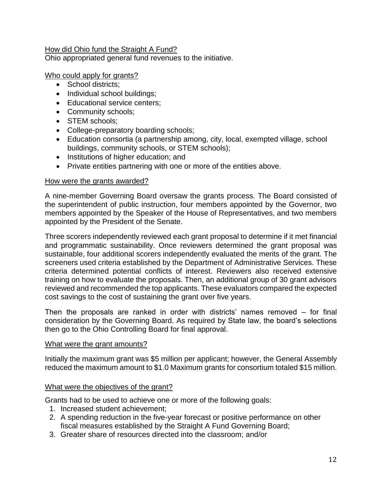### How did Ohio fund the Straight A Fund?

Ohio appropriated general fund revenues to the initiative.

### Who could apply for grants?

- School districts:
- Individual school buildings;
- Educational service centers;
- Community schools;
- **STEM schools:**
- College-preparatory boarding schools;
- Education consortia (a partnership among, city, local, exempted village, school buildings, community schools, or STEM schools);
- Institutions of higher education; and
- Private entities partnering with one or more of the entities above.

### How were the grants awarded?

A nine-member Governing Board oversaw the grants process. The Board consisted of the superintendent of public instruction, four members appointed by the Governor, two members appointed by the Speaker of the House of Representatives, and two members appointed by the President of the Senate.

Three scorers independently reviewed each grant proposal to determine if it met financial and programmatic sustainability. Once reviewers determined the grant proposal was sustainable, four additional scorers independently evaluated the merits of the grant. The screeners used criteria established by the Department of Administrative Services. These criteria determined potential conflicts of interest. Reviewers also received extensive training on how to evaluate the proposals. Then, an additional group of 30 grant advisors reviewed and recommended the top applicants. These evaluators compared the expected cost savings to the cost of sustaining the grant over five years.

Then the proposals are ranked in order with districts' names removed – for final consideration by the Governing Board. As required by State law, the board's selections then go to the Ohio Controlling Board for final approval.

#### What were the grant amounts?

Initially the maximum grant was \$5 million per applicant; however, the General Assembly reduced the maximum amount to \$1.0 Maximum grants for consortium totaled \$15 million.

### What were the objectives of the grant?

Grants had to be used to achieve one or more of the following goals:

- 1. Increased student achievement;
- 2. A spending reduction in the five-year forecast or positive performance on other fiscal measures established by the Straight A Fund Governing Board;
- 3. Greater share of resources directed into the classroom; and/or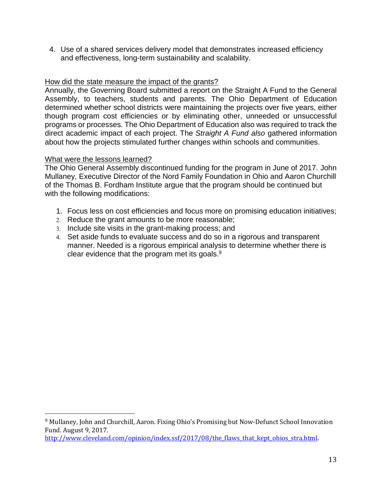4. Use of a shared services delivery model that demonstrates increased efficiency and effectiveness, long-term sustainability and scalability.

## How did the state measure the impact of the grants?

Annually, the Governing Board submitted a report on the Straight A Fund to the General Assembly, to teachers, students and parents. The Ohio Department of Education determined whether school districts were maintaining the projects over five years, either though program cost efficiencies or by eliminating other, unneeded or unsuccessful programs or processes. The Ohio Department of Education also was required to track the direct academic impact of each project. The *Straight A Fund also* gathered information about how the projects stimulated further changes within schools and communities.

## What were the lessons learned?

 $\overline{a}$ 

The Ohio General Assembly discontinued funding for the program in June of 2017. John Mullaney, Executive Director of the Nord Family Foundation in Ohio and Aaron Churchill of the Thomas B. Fordham Institute argue that the program should be continued but with the following modifications:

- 1. Focus less on cost efficiencies and focus more on promising education initiatives;
- 2. Reduce the grant amounts to be more reasonable;
- 3. Include site visits in the grant-making process; and
- 4. Set aside funds to evaluate success and do so in a rigorous and transparent manner. Needed is a rigorous empirical analysis to determine whether there is clear evidence that the program met its goals.<sup>9</sup>

<sup>9</sup> Mullaney, John and Churchill, Aaron. Fixing Ohio's Promising but Now-Defunct School Innovation Fund. August 9, 2017.

http://www.cleveland.com/opinion/index.ssf/2017/08/the flaws that kept ohios stra.html.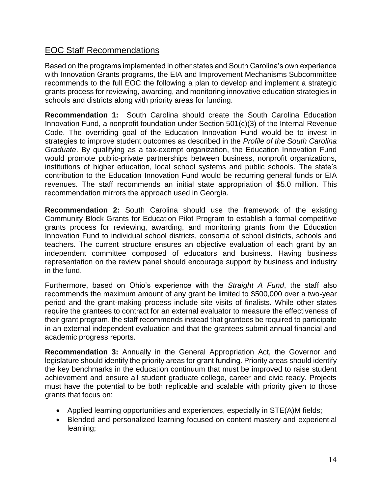# EOC Staff Recommendations

Based on the programs implemented in other states and South Carolina's own experience with Innovation Grants programs, the EIA and Improvement Mechanisms Subcommittee recommends to the full EOC the following a plan to develop and implement a strategic grants process for reviewing, awarding, and monitoring innovative education strategies in schools and districts along with priority areas for funding.

**Recommendation 1:** South Carolina should create the South Carolina Education Innovation Fund, a nonprofit foundation under Section 501(c)(3) of the Internal Revenue Code. The overriding goal of the Education Innovation Fund would be to invest in strategies to improve student outcomes as described in the *Profile of the South Carolina Graduate*. By qualifying as a tax-exempt organization, the Education Innovation Fund would promote public-private partnerships between business, nonprofit organizations, institutions of higher education, local school systems and public schools. The state's contribution to the Education Innovation Fund would be recurring general funds or EIA revenues. The staff recommends an initial state appropriation of \$5.0 million. This recommendation mirrors the approach used in Georgia.

**Recommendation 2:** South Carolina should use the framework of the existing Community Block Grants for Education Pilot Program to establish a formal competitive grants process for reviewing, awarding, and monitoring grants from the Education Innovation Fund to individual school districts, consortia of school districts, schools and teachers. The current structure ensures an objective evaluation of each grant by an independent committee composed of educators and business. Having business representation on the review panel should encourage support by business and industry in the fund.

Furthermore, based on Ohio's experience with the *Straight A Fund*, the staff also recommends the maximum amount of any grant be limited to \$500,000 over a two-year period and the grant-making process include site visits of finalists. While other states require the grantees to contract for an external evaluator to measure the effectiveness of their grant program, the staff recommends instead that grantees be required to participate in an external independent evaluation and that the grantees submit annual financial and academic progress reports.

**Recommendation 3:** Annually in the General Appropriation Act, the Governor and legislature should identify the priority areas for grant funding. Priority areas should identify the key benchmarks in the education continuum that must be improved to raise student achievement and ensure all student graduate college, career and civic ready. Projects must have the potential to be both replicable and scalable with priority given to those grants that focus on:

- Applied learning opportunities and experiences, especially in STE(A)M fields;
- Blended and personalized learning focused on content mastery and experiential learning;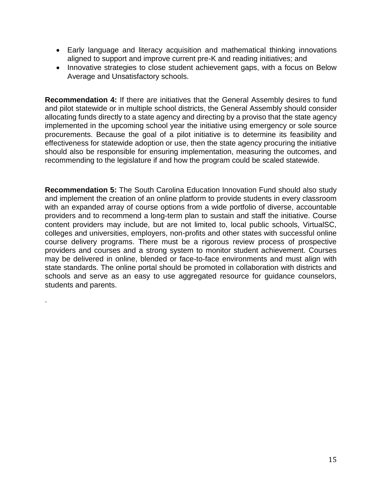- Early language and literacy acquisition and mathematical thinking innovations aligned to support and improve current pre-K and reading initiatives; and
- Innovative strategies to close student achievement gaps, with a focus on Below Average and Unsatisfactory schools.

**Recommendation 4:** If there are initiatives that the General Assembly desires to fund and pilot statewide or in multiple school districts, the General Assembly should consider allocating funds directly to a state agency and directing by a proviso that the state agency implemented in the upcoming school year the initiative using emergency or sole source procurements. Because the goal of a pilot initiative is to determine its feasibility and effectiveness for statewide adoption or use, then the state agency procuring the initiative should also be responsible for ensuring implementation, measuring the outcomes, and recommending to the legislature if and how the program could be scaled statewide.

**Recommendation 5:** The South Carolina Education Innovation Fund should also study and implement the creation of an online platform to provide students in every classroom with an expanded array of course options from a wide portfolio of diverse, accountable providers and to recommend a long-term plan to sustain and staff the initiative. Course content providers may include, but are not limited to, local public schools, VirtualSC, colleges and universities, employers, non-profits and other states with successful online course delivery programs. There must be a rigorous review process of prospective providers and courses and a strong system to monitor student achievement. Courses may be delivered in online, blended or face-to-face environments and must align with state standards. The online portal should be promoted in collaboration with districts and schools and serve as an easy to use aggregated resource for guidance counselors, students and parents.

.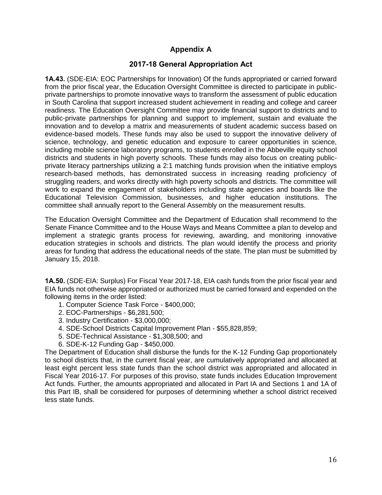## **Appendix A**

## **2017-18 General Appropriation Act**

**1A.43.** (SDE-EIA: EOC Partnerships for Innovation) Of the funds appropriated or carried forward from the prior fiscal year, the Education Oversight Committee is directed to participate in publicprivate partnerships to promote innovative ways to transform the assessment of public education in South Carolina that support increased student achievement in reading and college and career readiness. The Education Oversight Committee may provide financial support to districts and to public-private partnerships for planning and support to implement, sustain and evaluate the innovation and to develop a matrix and measurements of student academic success based on evidence-based models. These funds may also be used to support the innovative delivery of science, technology, and genetic education and exposure to career opportunities in science, including mobile science laboratory programs, to students enrolled in the Abbeville equity school districts and students in high poverty schools. These funds may also focus on creating publicprivate literacy partnerships utilizing a 2:1 matching funds provision when the initiative employs research-based methods, has demonstrated success in increasing reading proficiency of struggling readers, and works directly with high poverty schools and districts. The committee will work to expand the engagement of stakeholders including state agencies and boards like the Educational Television Commission, businesses, and higher education institutions. The committee shall annually report to the General Assembly on the measurement results.

The Education Oversight Committee and the Department of Education shall recommend to the Senate Finance Committee and to the House Ways and Means Committee a plan to develop and implement a strategic grants process for reviewing, awarding, and monitoring innovative education strategies in schools and districts. The plan would identify the process and priority areas for funding that address the educational needs of the state. The plan must be submitted by January 15, 2018.

**1A.50.** (SDE-EIA: Surplus) For Fiscal Year 2017-18, EIA cash funds from the prior fiscal year and EIA funds not otherwise appropriated or authorized must be carried forward and expended on the following items in the order listed:

- 1. Computer Science Task Force \$400,000;
- 2. EOC-Partnerships \$6,281,500;
- 3. Industry Certification \$3,000,000;
- 4. SDE-School Districts Capital Improvement Plan \$55,828,859;
- 5. SDE-Technical Assistance \$1,308,500; and
- 6. SDE-K-12 Funding Gap \$450,000.

The Department of Education shall disburse the funds for the K-12 Funding Gap proportionately to school districts that, in the current fiscal year, are cumulatively appropriated and allocated at least eight percent less state funds than the school district was appropriated and allocated in Fiscal Year 2016-17. For purposes of this proviso, state funds includes Education Improvement Act funds. Further, the amounts appropriated and allocated in Part IA and Sections 1 and 1A of this Part IB, shall be considered for purposes of determining whether a school district received less state funds.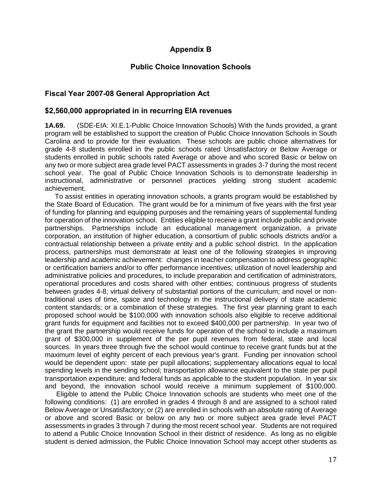## **Appendix B**

## **Public Choice Innovation Schools**

### **Fiscal Year 2007-08 General Appropriation Act**

#### **\$2,560,000 appropriated in in recurring EIA revenues**

**1A.69.** (SDE-EIA: XI.E.1-Public Choice Innovation Schools) With the funds provided, a grant program will be established to support the creation of Public Choice Innovation Schools in South Carolina and to provide for their evaluation. These schools are public choice alternatives for grade 4-8 students enrolled in the public schools rated Unsatisfactory or Below Average or students enrolled in public schools rated Average or above and who scored Basic or below on any two or more subject area grade level PACT assessments in grades 3-7 during the most recent school year. The goal of Public Choice Innovation Schools is to demonstrate leadership in instructional, administrative or personnel practices yielding strong student academic achievement.

 To assist entities in operating innovation schools, a grants program would be established by the State Board of Education. The grant would be for a minimum of five years with the first year of funding for planning and equipping purposes and the remaining years of supplemental funding for operation of the innovation school. Entities eligible to receive a grant include public and private partnerships. Partnerships include an educational management organization, a private corporation, an institution of higher education, a consortium of public schools districts and/or a contractual relationship between a private entity and a public school district. In the application process, partnerships must demonstrate at least one of the following strategies in improving leadership and academic achievement: changes in teacher compensation to address geographic or certification barriers and/or to offer performance incentives; utilization of novel leadership and administrative policies and procedures, to include preparation and certification of administrators, operational procedures and costs shared with other entities; continuous progress of students between grades 4-8; virtual delivery of substantial portions of the curriculum; and novel or nontraditional uses of time, space and technology in the instructional delivery of state academic content standards; or a combination of these strategies. The first year planning grant to each proposed school would be \$100,000 with innovation schools also eligible to receive additional grant funds for equipment and facilities not to exceed \$400,000 per partnership. In year two of the grant the partnership would receive funds for operation of the school to include a maximum grant of \$300,000 in supplement of the per pupil revenues from federal, state and local sources. In years three through five the school would continue to receive grant funds but at the maximum level of eighty percent of each previous year's grant. Funding per innovation school would be dependent upon: state per pupil allocations; supplementary allocations equal to local spending levels in the sending school; transportation allowance equivalent to the state per pupil transportation expenditure; and federal funds as applicable to the student population. In year six and beyond, the innovation school would receive a minimum supplement of \$100,000.

 Eligible to attend the Public Choice Innovation schools are students who meet one of the following conditions: (1) are enrolled in grades 4 through 8 and are assigned to a school rated Below Average or Unsatisfactory; or (2) are enrolled in schools with an absolute rating of Average or above and scored Basic or below on any two or more subject area grade level PACT assessments in grades 3 through 7 during the most recent school year. Students are not required to attend a Public Choice Innovation School in their district of residence. As long as no eligible student is denied admission, the Public Choice Innovation School may accept other students as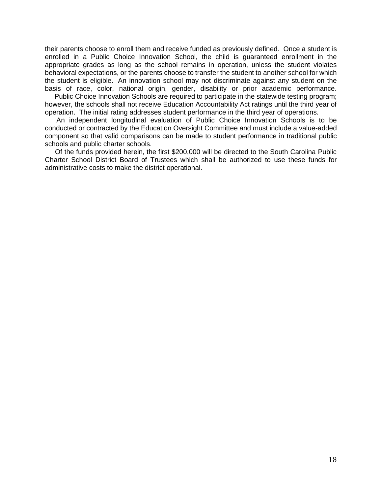their parents choose to enroll them and receive funded as previously defined. Once a student is enrolled in a Public Choice Innovation School, the child is guaranteed enrollment in the appropriate grades as long as the school remains in operation, unless the student violates behavioral expectations, or the parents choose to transfer the student to another school for which the student is eligible. An innovation school may not discriminate against any student on the basis of race, color, national origin, gender, disability or prior academic performance.

 Public Choice Innovation Schools are required to participate in the statewide testing program; however, the schools shall not receive Education Accountability Act ratings until the third year of operation. The initial rating addresses student performance in the third year of operations.

 An independent longitudinal evaluation of Public Choice Innovation Schools is to be conducted or contracted by the Education Oversight Committee and must include a value-added component so that valid comparisons can be made to student performance in traditional public schools and public charter schools.

 Of the funds provided herein, the first \$200,000 will be directed to the South Carolina Public Charter School District Board of Trustees which shall be authorized to use these funds for administrative costs to make the district operational.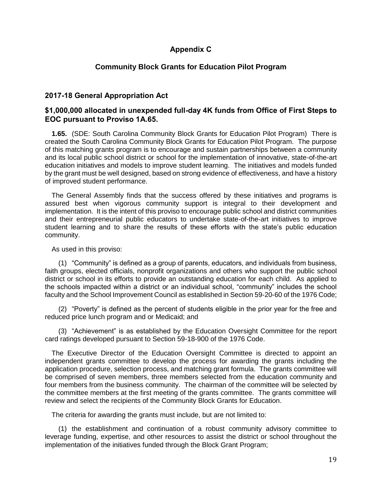### **Appendix C**

### **Community Block Grants for Education Pilot Program**

#### **2017-18 General Appropriation Act**

### **\$1,000,000 allocated in unexpended full-day 4K funds from Office of First Steps to EOC pursuant to Proviso 1A.65.**

**1.65.** (SDE: South Carolina Community Block Grants for Education Pilot Program) There is created the South Carolina Community Block Grants for Education Pilot Program. The purpose of this matching grants program is to encourage and sustain partnerships between a community and its local public school district or school for the implementation of innovative, state-of-the-art education initiatives and models to improve student learning. The initiatives and models funded by the grant must be well designed, based on strong evidence of effectiveness, and have a history of improved student performance.

The General Assembly finds that the success offered by these initiatives and programs is assured best when vigorous community support is integral to their development and implementation. It is the intent of this proviso to encourage public school and district communities and their entrepreneurial public educators to undertake state-of-the-art initiatives to improve student learning and to share the results of these efforts with the state's public education community.

As used in this proviso:

(1) "Community" is defined as a group of parents, educators, and individuals from business, faith groups, elected officials, nonprofit organizations and others who support the public school district or school in its efforts to provide an outstanding education for each child. As applied to the schools impacted within a district or an individual school, "community" includes the school faculty and the School Improvement Council as established in Section 59-20-60 of the 1976 Code;

(2) "Poverty" is defined as the percent of students eligible in the prior year for the free and reduced price lunch program and or Medicaid; and

(3) "Achievement" is as established by the Education Oversight Committee for the report card ratings developed pursuant to Section 59-18-900 of the 1976 Code.

The Executive Director of the Education Oversight Committee is directed to appoint an independent grants committee to develop the process for awarding the grants including the application procedure, selection process, and matching grant formula. The grants committee will be comprised of seven members, three members selected from the education community and four members from the business community. The chairman of the committee will be selected by the committee members at the first meeting of the grants committee. The grants committee will review and select the recipients of the Community Block Grants for Education.

The criteria for awarding the grants must include, but are not limited to:

(1) the establishment and continuation of a robust community advisory committee to leverage funding, expertise, and other resources to assist the district or school throughout the implementation of the initiatives funded through the Block Grant Program;